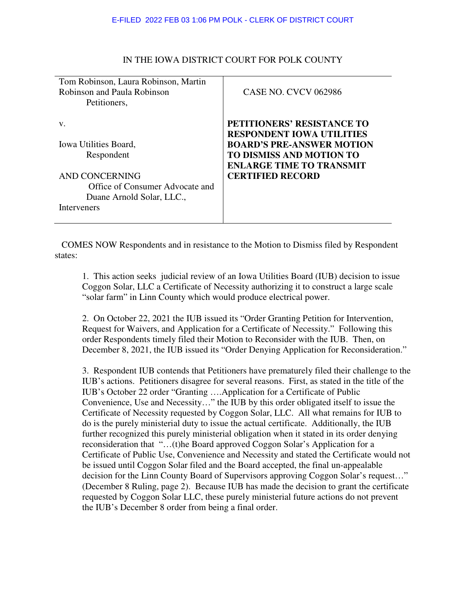| Tom Robinson, Laura Robinson, Martin<br><b>Robinson and Paula Robinson</b><br>Petitioners,                                                 | <b>CASE NO. CVCV 062986</b>                                                                                                                                                                         |
|--------------------------------------------------------------------------------------------------------------------------------------------|-----------------------------------------------------------------------------------------------------------------------------------------------------------------------------------------------------|
| V.<br>Iowa Utilities Board,<br>Respondent<br>AND CONCERNING<br>Office of Consumer Advocate and<br>Duane Arnold Solar, LLC.,<br>Interveners | PETITIONERS' RESISTANCE TO<br><b>RESPONDENT IOWA UTILITIES</b><br><b>BOARD'S PRE-ANSWER MOTION</b><br><b>TO DISMISS AND MOTION TO</b><br><b>ENLARGE TIME TO TRANSMIT</b><br><b>CERTIFIED RECORD</b> |

## IN THE IOWA DISTRICT COURT FOR POLK COUNTY

COMES NOW Respondents and in resistance to the Motion to Dismiss filed by Respondent states:

1. This action seeks judicial review of an Iowa Utilities Board (IUB) decision to issue Coggon Solar, LLC a Certificate of Necessity authorizing it to construct a large scale "solar farm" in Linn County which would produce electrical power.

2. On October 22, 2021 the IUB issued its "Order Granting Petition for Intervention, Request for Waivers, and Application for a Certificate of Necessity." Following this order Respondents timely filed their Motion to Reconsider with the IUB. Then, on December 8, 2021, the IUB issued its "Order Denying Application for Reconsideration."

3. Respondent IUB contends that Petitioners have prematurely filed their challenge to the IUB's actions. Petitioners disagree for several reasons. First, as stated in the title of the IUB's October 22 order "Granting ….Application for a Certificate of Public Convenience, Use and Necessity…" the IUB by this order obligated itself to issue the Certificate of Necessity requested by Coggon Solar, LLC. All what remains for IUB to do is the purely ministerial duty to issue the actual certificate. Additionally, the IUB further recognized this purely ministerial obligation when it stated in its order denying reconsideration that "…(t)he Board approved Coggon Solar's Application for a Certificate of Public Use, Convenience and Necessity and stated the Certificate would not be issued until Coggon Solar filed and the Board accepted, the final un-appealable decision for the Linn County Board of Supervisors approving Coggon Solar's request…" (December 8 Ruling, page 2). Because IUB has made the decision to grant the certificate requested by Coggon Solar LLC, these purely ministerial future actions do not prevent the IUB's December 8 order from being a final order.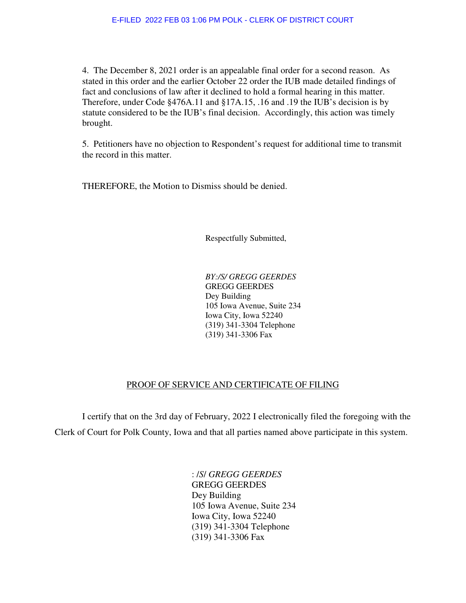4. The December 8, 2021 order is an appealable final order for a second reason. As stated in this order and the earlier October 22 order the IUB made detailed findings of fact and conclusions of law after it declined to hold a formal hearing in this matter. Therefore, under Code §476A.11 and §17A.15, .16 and .19 the IUB's decision is by statute considered to be the IUB's final decision. Accordingly, this action was timely brought.

5. Petitioners have no objection to Respondent's request for additional time to transmit the record in this matter.

THEREFORE, the Motion to Dismiss should be denied.

Respectfully Submitted,

*BY:/S/ GREGG GEERDES*  GREGG GEERDES Dey Building 105 Iowa Avenue, Suite 234 Iowa City, Iowa 52240 (319) 341-3304 Telephone (319) 341-3306 Fax

## PROOF OF SERVICE AND CERTIFICATE OF FILING

 I certify that on the 3rd day of February, 2022 I electronically filed the foregoing with the Clerk of Court for Polk County, Iowa and that all parties named above participate in this system.

> : /*S*/ *GREGG GEERDES* GREGG GEERDES Dey Building 105 Iowa Avenue, Suite 234 Iowa City, Iowa 52240 (319) 341-3304 Telephone (319) 341-3306 Fax